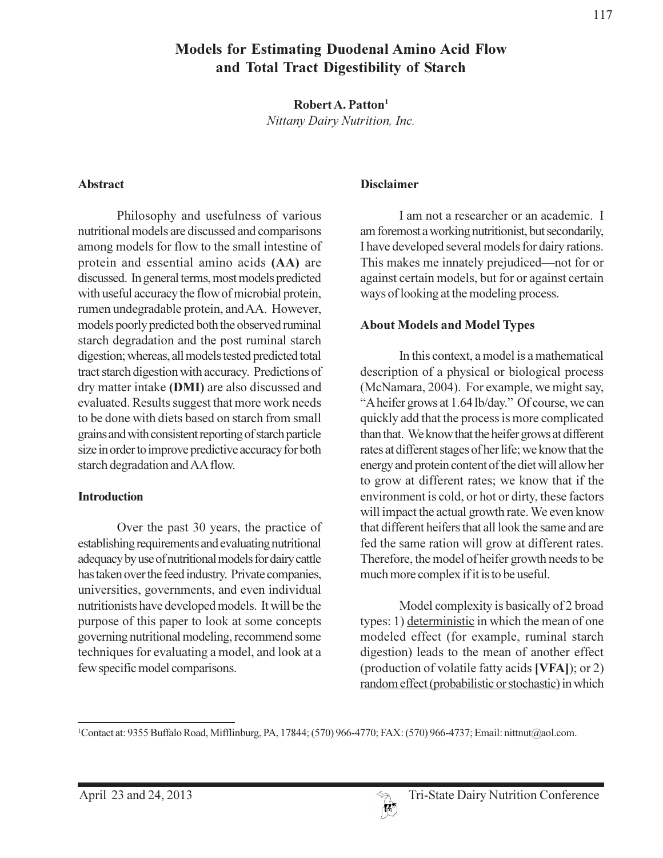# **Models for Estimating Duodenal Amino Acid Flow** and Total Tract Digestibility of Starch

Robert A. Patton<sup>1</sup>

Nittany Dairy Nutrition, Inc.

#### **Abstract**

Philosophy and usefulness of various nutritional models are discussed and comparisons among models for flow to the small intestine of protein and essential amino acids (AA) are discussed. In general terms, most models predicted with useful accuracy the flow of microbial protein, rumen undegradable protein, and AA. However, models poorly predicted both the observed ruminal starch degradation and the post ruminal starch digestion; whereas, all models tested predicted total tract starch digestion with accuracy. Predictions of dry matter intake (DMI) are also discussed and evaluated. Results suggest that more work needs to be done with diets based on starch from small grains and with consistent reporting of starch particle size in order to improve predictive accuracy for both starch degradation and AA flow.

### **Introduction**

Over the past 30 years, the practice of establishing requirements and evaluating nutritional adequacy by use of nutritional models for dairy cattle has taken over the feed industry. Private companies, universities, governments, and even individual nutritionists have developed models. It will be the purpose of this paper to look at some concepts governing nutritional modeling, recommend some techniques for evaluating a model, and look at a few specific model comparisons.

#### **Disclaimer**

I am not a researcher or an academic. I am foremost a working nutritionist, but secondarily, I have developed several models for dairy rations. This makes me innately prejudiced—not for or against certain models, but for or against certain ways of looking at the modeling process.

### **About Models and Model Types**

In this context, a model is a mathematical description of a physical or biological process (McNamara, 2004). For example, we might say, "A heifer grows at 1.64 lb/day." Of course, we can quickly add that the process is more complicated than that. We know that the heifer grows at different rates at different stages of her life; we know that the energy and protein content of the diet will allow her to grow at different rates; we know that if the environment is cold, or hot or dirty, these factors will impact the actual growth rate. We even know that different heifers that all look the same and are fed the same ration will grow at different rates. Therefore, the model of heifer growth needs to be much more complex if it is to be useful.

Model complexity is basically of 2 broad types: 1) deterministic in which the mean of one modeled effect (for example, ruminal starch digestion) leads to the mean of another effect (production of volatile fatty acids [VFA]); or 2) random effect (probabilistic or stochastic) in which

<sup>&</sup>lt;sup>1</sup>Contact at: 9355 Buffalo Road, Mifflinburg, PA, 17844; (570) 966-4770; FAX: (570) 966-4737; Email: nittnut@aol.com.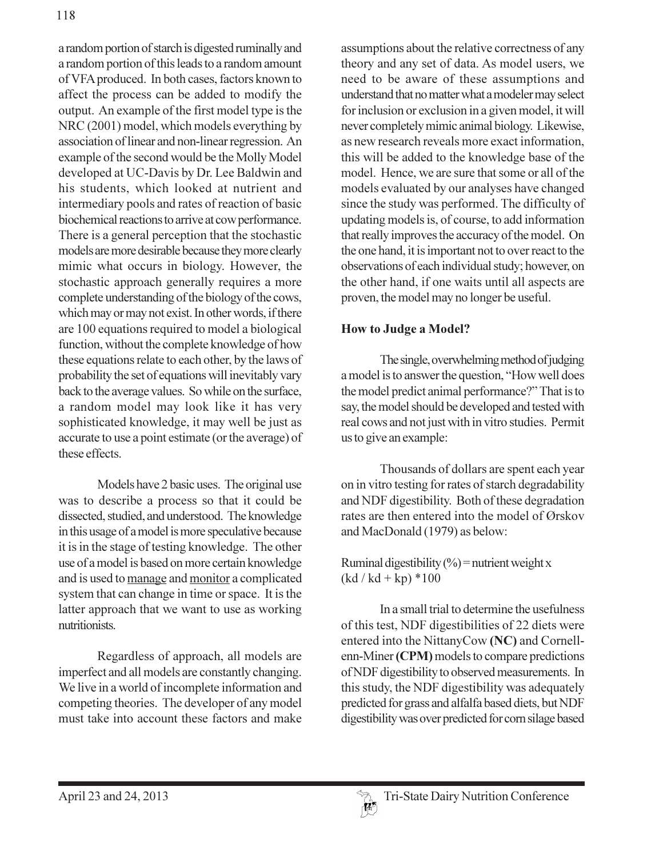a random portion of starch is digested ruminally and a random portion of this leads to a random amount of VFA produced. In both cases, factors known to affect the process can be added to modify the output. An example of the first model type is the NRC (2001) model, which models everything by association of linear and non-linear regression. An example of the second would be the Molly Model developed at UC-Davis by Dr. Lee Baldwin and his students, which looked at nutrient and intermediary pools and rates of reaction of basic biochemical reactions to arrive at cow performance. There is a general perception that the stochastic models are more desirable because they more clearly mimic what occurs in biology. However, the stochastic approach generally requires a more complete understanding of the biology of the cows, which may or may not exist. In other words, if there are 100 equations required to model a biological function, without the complete knowledge of how these equations relate to each other, by the laws of probability the set of equations will inevitably vary back to the average values. So while on the surface, a random model may look like it has very sophisticated knowledge, it may well be just as accurate to use a point estimate (or the average) of these effects.

Models have 2 basic uses. The original use was to describe a process so that it could be dissected, studied, and understood. The knowledge in this usage of a model is more speculative because it is in the stage of testing knowledge. The other use of a model is based on more certain knowledge and is used to manage and monitor a complicated system that can change in time or space. It is the latter approach that we want to use as working nutritionists.

Regardless of approach, all models are imperfect and all models are constantly changing. We live in a world of incomplete information and competing theories. The developer of any model must take into account these factors and make

assumptions about the relative correctness of any theory and any set of data. As model users, we need to be aware of these assumptions and understand that no matter what a modeler may select for inclusion or exclusion in a given model, it will never completely mimic animal biology. Likewise, as new research reveals more exact information, this will be added to the knowledge base of the model. Hence, we are sure that some or all of the models evaluated by our analyses have changed since the study was performed. The difficulty of updating models is, of course, to add information that really improves the accuracy of the model. On the one hand, it is important not to over react to the observations of each individual study; however, on the other hand, if one waits until all aspects are proven, the model may no longer be useful.

## **How to Judge a Model?**

The single, overwhelming method of judging a model is to answer the question, "How well does the model predict animal performance?" That is to say, the model should be developed and tested with real cows and not just with in vitro studies. Permit us to give an example:

Thousands of dollars are spent each year on in vitro testing for rates of starch degradability and NDF digestibility. Both of these degradation rates are then entered into the model of Ørskov and MacDonald (1979) as below:

Ruminal digestibility  $(\frac{6}{6})$  = nutrient weight x  $(kd / kd + kp) * 100$ 

In a small trial to determine the usefulness of this test, NDF digestibilities of 22 diets were entered into the NittanyCow (NC) and Cornellenn-Miner (CPM) models to compare predictions of NDF digestibility to observed measurements. In this study, the NDF digestibility was adequately predicted for grass and alfalfa based diets, but NDF digestibility was over predicted for corn silage based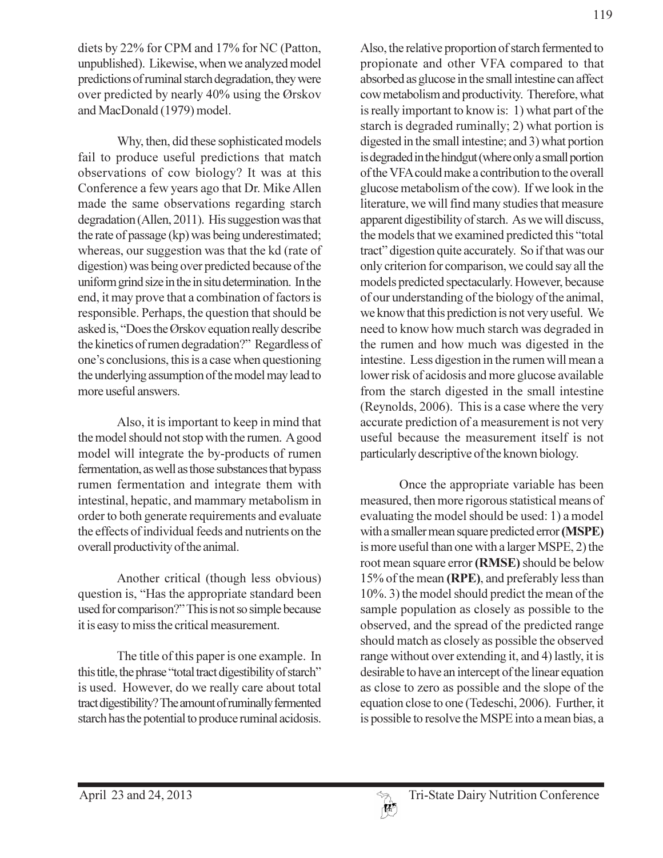diets by 22% for CPM and 17% for NC (Patton, unpublished). Likewise, when we analyzed model predictions of ruminal starch degradation, they were over predicted by nearly 40% using the Ørskov and MacDonald (1979) model.

Why, then, did these sophisticated models fail to produce useful predictions that match observations of cow biology? It was at this Conference a few years ago that Dr. Mike Allen made the same observations regarding starch degradation (Allen, 2011). His suggestion was that the rate of passage (kp) was being underestimated; whereas, our suggestion was that the kd (rate of digestion) was being over predicted because of the uniform grind size in the in situ determination. In the end, it may prove that a combination of factors is responsible. Perhaps, the question that should be asked is, "Does the Ørskov equation really describe the kinetics of rumen degradation?" Regardless of one's conclusions, this is a case when questioning the underlying assumption of the model may lead to more useful answers.

Also, it is important to keep in mind that the model should not stop with the rumen. A good model will integrate the by-products of rumen fermentation, as well as those substances that bypass rumen fermentation and integrate them with intestinal, hepatic, and mammary metabolism in order to both generate requirements and evaluate the effects of individual feeds and nutrients on the overall productivity of the animal.

Another critical (though less obvious) question is, "Has the appropriate standard been used for comparison?" This is not so simple because it is easy to miss the critical measurement.

The title of this paper is one example. In this title, the phrase "total tract digestibility of starch" is used. However, do we really care about total tract digestibility? The amount of ruminally fermented starch has the potential to produce ruminal acidosis.

Also, the relative proportion of starch fermented to propionate and other VFA compared to that absorbed as glucose in the small intestine can affect cow metabolism and productivity. Therefore, what is really important to know is: 1) what part of the starch is degraded ruminally; 2) what portion is digested in the small intestine; and 3) what portion is degraded in the hindgut (where only a small portion of the VFA could make a contribution to the overall glucose metabolism of the cow). If we look in the literature, we will find many studies that measure apparent digestibility of starch. As we will discuss,

the models that we examined predicted this "total tract" digestion quite accurately. So if that was our only criterion for comparison, we could say all the models predicted spectacularly. However, because of our understanding of the biology of the animal, we know that this prediction is not very useful. We need to know how much starch was degraded in the rumen and how much was digested in the intestine. Less digestion in the rumen will mean a lower risk of acidosis and more glucose available from the starch digested in the small intestine (Reynolds, 2006). This is a case where the very accurate prediction of a measurement is not very useful because the measurement itself is not particularly descriptive of the known biology.

Once the appropriate variable has been measured, then more rigorous statistical means of evaluating the model should be used: 1) a model with a smaller mean square predicted error (MSPE) is more useful than one with a larger MSPE, 2) the root mean square error (RMSE) should be below 15% of the mean (RPE), and preferably less than 10%. 3) the model should predict the mean of the sample population as closely as possible to the observed, and the spread of the predicted range should match as closely as possible the observed range without over extending it, and 4) lastly, it is desirable to have an intercept of the linear equation as close to zero as possible and the slope of the equation close to one (Tedeschi, 2006). Further, it is possible to resolve the MSPE into a mean bias, a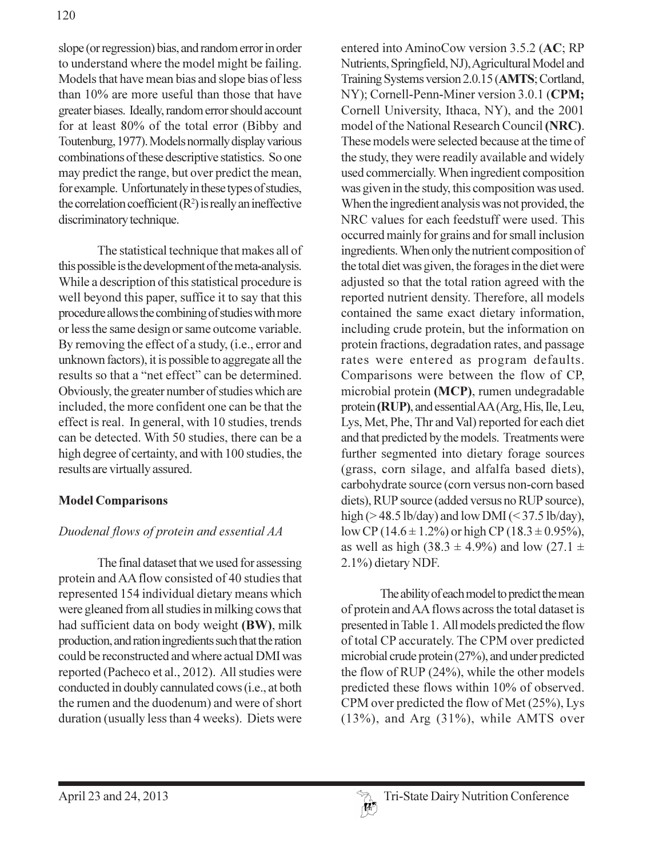slope (or regression) bias, and random error in order to understand where the model might be failing. Models that have mean bias and slope bias of less than 10% are more useful than those that have greater biases. Ideally, random error should account for at least 80% of the total error (Bibby and Toutenburg, 1977). Models normally display various combinations of these descriptive statistics. So one may predict the range, but over predict the mean, for example. Unfortunately in these types of studies, the correlation coefficient  $(R^2)$  is really an ineffective discriminatory technique.

The statistical technique that makes all of this possible is the development of the meta-analysis. While a description of this statistical procedure is well beyond this paper, suffice it to say that this procedure allows the combining of studies with more or less the same design or same outcome variable. By removing the effect of a study, (i.e., error and unknown factors), it is possible to aggregate all the results so that a "net effect" can be determined. Obviously, the greater number of studies which are included, the more confident one can be that the effect is real. In general, with 10 studies, trends can be detected. With 50 studies, there can be a high degree of certainty, and with 100 studies, the results are virtually assured.

# **Model Comparisons**

# Duodenal flows of protein and essential AA

The final dataset that we used for assessing protein and AA flow consisted of 40 studies that represented 154 individual dietary means which were gleaned from all studies in milking cows that had sufficient data on body weight (BW), milk production, and ration ingredients such that the ration could be reconstructed and where actual DMI was reported (Pacheco et al., 2012). All studies were conducted in doubly cannulated cows (i.e., at both the rumen and the duodenum) and were of short duration (usually less than 4 weeks). Diets were

entered into AminoCow version 3.5.2 (AC; RP Nutrients, Springfield, NJ), Agricultural Model and Training Systems version 2.0.15 (AMTS; Cortland, NY); Cornell-Penn-Miner version 3.0.1 (CPM; Cornell University, Ithaca, NY), and the 2001 model of the National Research Council (NRC). These models were selected because at the time of the study, they were readily available and widely used commercially. When ingredient composition was given in the study, this composition was used. When the ingredient analysis was not provided, the NRC values for each feedstuff were used. This occurred mainly for grains and for small inclusion ingredients. When only the nutrient composition of the total diet was given, the forages in the diet were adjusted so that the total ration agreed with the reported nutrient density. Therefore, all models contained the same exact dietary information, including crude protein, but the information on protein fractions, degradation rates, and passage rates were entered as program defaults. Comparisons were between the flow of CP, microbial protein (MCP), rumen undegradable protein (RUP), and essential AA (Arg, His, Ile, Leu, Lys, Met, Phe, Thr and Val) reported for each diet and that predicted by the models. Treatments were further segmented into dietary forage sources (grass, corn silage, and alfalfa based diets), carbohydrate source (corn versus non-corn based diets), RUP source (added versus no RUP source), high (>48.5 lb/day) and low DMI (<37.5 lb/day), low CP (14.6 ± 1.2%) or high CP (18.3 ± 0.95%), as well as high (38.3  $\pm$  4.9%) and low (27.1  $\pm$ 2.1%) dietary NDF.

The ability of each model to predict the mean of protein and AA flows across the total dataset is presented in Table 1. All models predicted the flow of total CP accurately. The CPM over predicted microbial crude protein (27%), and under predicted the flow of RUP (24%), while the other models predicted these flows within 10% of observed. CPM over predicted the flow of Met (25%), Lys  $(13\%)$ , and Arg  $(31\%)$ , while AMTS over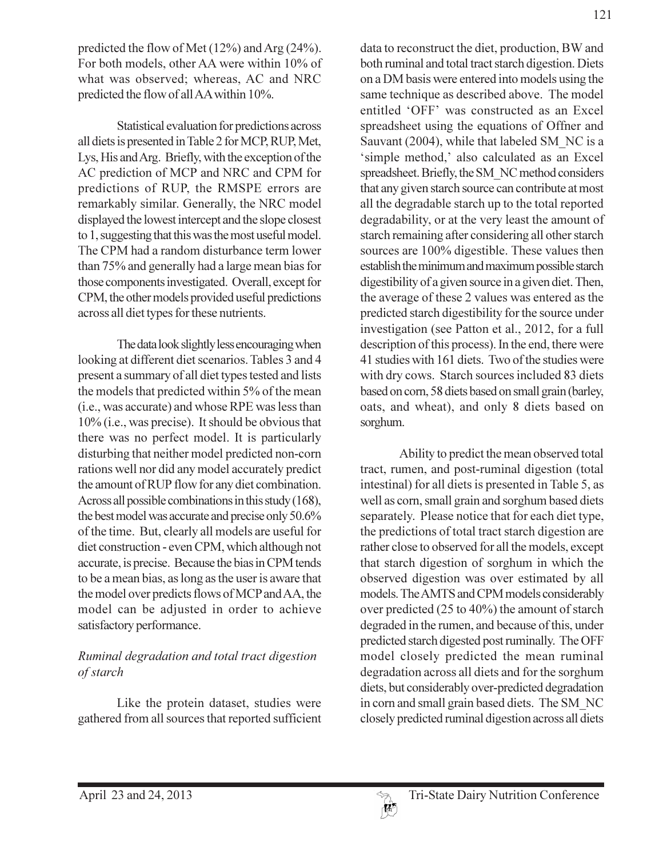predicted the flow of Met (12%) and Arg (24%). For both models, other AA were within 10% of what was observed; whereas, AC and NRC predicted the flow of all AA within 10%.

Statistical evaluation for predictions across all diets is presented in Table 2 for MCP, RUP, Met, Lys, His and Arg. Briefly, with the exception of the AC prediction of MCP and NRC and CPM for predictions of RUP, the RMSPE errors are remarkably similar. Generally, the NRC model displayed the lowest intercept and the slope closest to 1, suggesting that this was the most useful model. The CPM had a random disturbance term lower than 75% and generally had a large mean bias for those components investigated. Overall, except for CPM, the other models provided useful predictions across all diet types for these nutrients.

The data look slightly less encouraging when looking at different diet scenarios. Tables 3 and 4 present a summary of all diet types tested and lists the models that predicted within 5% of the mean (i.e., was accurate) and whose RPE was less than  $10\%$  (i.e., was precise). It should be obvious that there was no perfect model. It is particularly disturbing that neither model predicted non-corn rations well nor did any model accurately predict the amount of RUP flow for any diet combination. Across all possible combinations in this study (168), the best model was accurate and precise only 50.6% of the time. But, clearly all models are useful for diet construction - even CPM, which although not accurate, is precise. Because the bias in CPM tends to be a mean bias, as long as the user is aware that the model over predicts flows of MCP and AA, the model can be adjusted in order to achieve satisfactory performance.

# Ruminal degradation and total tract digestion of starch

Like the protein dataset, studies were gathered from all sources that reported sufficient data to reconstruct the diet, production, BW and both ruminal and total tract starch digestion. Diets on a DM basis were entered into models using the same technique as described above. The model entitled 'OFF' was constructed as an Excel spreadsheet using the equations of Offner and Sauvant (2004), while that labeled SM NC is a 'simple method,' also calculated as an Excel spreadsheet. Briefly, the SM NC method considers that any given starch source can contribute at most all the degradable starch up to the total reported degradability, or at the very least the amount of starch remaining after considering all other starch sources are 100% digestible. These values then establish the minimum and maximum possible starch digestibility of a given source in a given diet. Then, the average of these 2 values was entered as the predicted starch digestibility for the source under investigation (see Patton et al., 2012, for a full description of this process). In the end, there were 41 studies with 161 diets. Two of the studies were with dry cows. Starch sources included 83 diets based on corn, 58 diets based on small grain (barley, oats, and wheat), and only 8 diets based on sorghum.

Ability to predict the mean observed total tract, rumen, and post-ruminal digestion (total intestinal) for all diets is presented in Table 5, as well as corn, small grain and sorghum based diets separately. Please notice that for each diet type, the predictions of total tract starch digestion are rather close to observed for all the models, except that starch digestion of sorghum in which the observed digestion was over estimated by all models. The AMTS and CPM models considerably over predicted (25 to 40%) the amount of starch degraded in the rumen, and because of this, under predicted starch digested post ruminally. The OFF model closely predicted the mean ruminal degradation across all diets and for the sorghum diets, but considerably over-predicted degradation in corn and small grain based diets. The SM NC closely predicted ruminal digestion across all diets

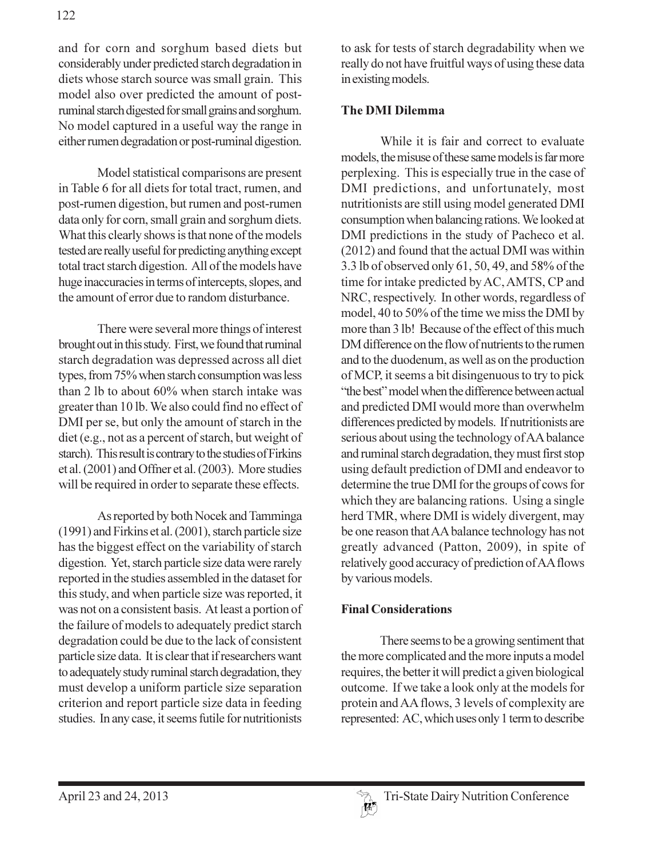and for corn and sorghum based diets but considerably under predicted starch degradation in diets whose starch source was small grain. This model also over predicted the amount of postruminal starch digested for small grains and sorghum. No model captured in a useful way the range in either rumen degradation or post-ruminal digestion.

Model statistical comparisons are present in Table 6 for all diets for total tract, rumen, and post-rumen digestion, but rumen and post-rumen data only for corn, small grain and sorghum diets. What this clearly shows is that none of the models tested are really useful for predicting anything except total tract starch digestion. All of the models have huge inaccuracies in terms of intercepts, slopes, and the amount of error due to random disturbance.

There were several more things of interest brought out in this study. First, we found that ruminal starch degradation was depressed across all diet types, from 75% when starch consumption was less than 2 lb to about 60% when starch intake was greater than 10 lb. We also could find no effect of DMI per se, but only the amount of starch in the diet (e.g., not as a percent of starch, but weight of starch). This result is contrary to the studies of Firkins et al. (2001) and Offner et al. (2003). More studies will be required in order to separate these effects.

As reported by both Nocek and Tamminga (1991) and Firkins et al. (2001), starch particle size has the biggest effect on the variability of starch digestion. Yet, starch particle size data were rarely reported in the studies assembled in the dataset for this study, and when particle size was reported, it was not on a consistent basis. At least a portion of the failure of models to adequately predict starch degradation could be due to the lack of consistent particle size data. It is clear that if researchers want to adequately study ruminal starch degradation, they must develop a uniform particle size separation criterion and report particle size data in feeding studies. In any case, it seems futile for nutritionists

to ask for tests of starch degradability when we really do not have fruitful ways of using these data in existing models.

### **The DMI Dilemma**

While it is fair and correct to evaluate models, the misuse of these same models is far more perplexing. This is especially true in the case of DMI predictions, and unfortunately, most nutritionists are still using model generated DMI consumption when balancing rations. We looked at DMI predictions in the study of Pacheco et al. (2012) and found that the actual DMI was within 3.3 lb of observed only 61, 50, 49, and 58% of the time for intake predicted by AC, AMTS, CP and NRC, respectively. In other words, regardless of model, 40 to 50% of the time we miss the DMI by more than 3 lb! Because of the effect of this much DM difference on the flow of nutrients to the rumen and to the duodenum, as well as on the production of MCP, it seems a bit disingenuous to try to pick "the best" model when the difference between actual and predicted DMI would more than overwhelm differences predicted by models. If nutritionists are serious about using the technology of AA balance and ruminal starch degradation, they must first stop using default prediction of DMI and endeavor to determine the true DMI for the groups of cows for which they are balancing rations. Using a single herd TMR, where DMI is widely divergent, may be one reason that AA balance technology has not greatly advanced (Patton, 2009), in spite of relatively good accuracy of prediction of AA flows by various models.

### **Final Considerations**

There seems to be a growing sentiment that the more complicated and the more inputs a model requires, the better it will predict a given biological outcome. If we take a look only at the models for protein and AA flows, 3 levels of complexity are represented: AC, which uses only 1 term to describe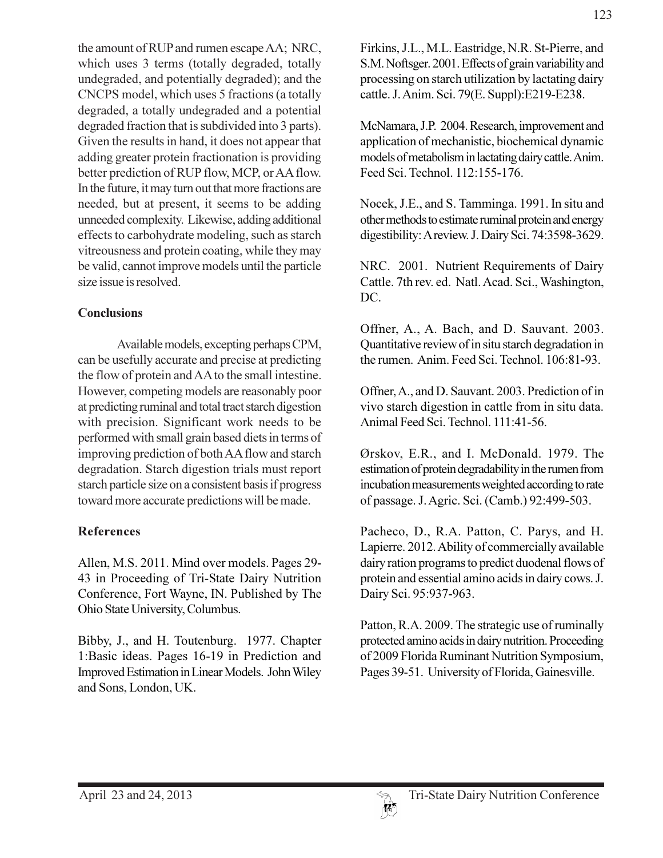the amount of RUP and rumen escape AA; NRC, which uses 3 terms (totally degraded, totally undegraded, and potentially degraded); and the CNCPS model, which uses 5 fractions (a totally degraded, a totally undegraded and a potential degraded fraction that is subdivided into 3 parts). Given the results in hand, it does not appear that adding greater protein fractionation is providing better prediction of RUP flow, MCP, or AA flow. In the future, it may turn out that more fractions are needed, but at present, it seems to be adding unneeded complexity. Likewise, adding additional effects to carbohydrate modeling, such as starch vitreousness and protein coating, while they may be valid, cannot improve models until the particle size issue is resolved.

## **Conclusions**

Available models, excepting perhaps CPM, can be usefully accurate and precise at predicting the flow of protein and AA to the small intestine. However, competing models are reasonably poor at predicting ruminal and total tract starch digestion with precision. Significant work needs to be performed with small grain based diets in terms of improving prediction of both AA flow and starch degradation. Starch digestion trials must report starch particle size on a consistent basis if progress toward more accurate predictions will be made.

# **References**

Allen, M.S. 2011. Mind over models. Pages 29-43 in Proceeding of Tri-State Dairy Nutrition Conference, Fort Wayne, IN. Published by The Ohio State University, Columbus.

Bibby, J., and H. Toutenburg. 1977. Chapter 1:Basic ideas. Pages 16-19 in Prediction and Improved Estimation in Linear Models. John Wiley and Sons, London, UK.

123

Firkins, J.L., M.L. Eastridge, N.R. St-Pierre, and S.M. Noftsger. 2001. Effects of grain variability and processing on starch utilization by lactating dairy cattle. J. Anim. Sci. 79(E. Suppl): E219-E238.

McNamara, J.P. 2004. Research, improvement and application of mechanistic, biochemical dynamic models of metabolism in lactating dairy cattle. Anim. Feed Sci. Technol. 112:155-176.

Nocek, J.E., and S. Tamminga. 1991. In situ and other methods to estimate ruminal protein and energy digestibility: A review. J. Dairy Sci. 74:3598-3629.

NRC. 2001. Nutrient Requirements of Dairy Cattle. 7th rev. ed. Natl. Acad. Sci., Washington, DC.

Offner, A., A. Bach, and D. Sauvant. 2003. Quantitative review of in situ starch degradation in the rumen. Anim. Feed Sci. Technol. 106:81-93.

Offner, A., and D. Sauvant. 2003. Prediction of in vivo starch digestion in cattle from in situ data. Animal Feed Sci. Technol. 111:41-56.

Ørskov, E.R., and I. McDonald. 1979. The estimation of protein degradability in the rumen from incubation measurements weighted according to rate of passage. J. Agric. Sci. (Camb.) 92:499-503.

Pacheco, D., R.A. Patton, C. Parys, and H. Lapierre. 2012. Ability of commercially available dairy ration programs to predict duodenal flows of protein and essential amino acids in dairy cows. J. Dairy Sci. 95:937-963.

Patton, R.A. 2009. The strategic use of ruminally protected amino acids in dairy nutrition. Proceeding of 2009 Florida Ruminant Nutrition Symposium, Pages 39-51. University of Florida, Gainesville.

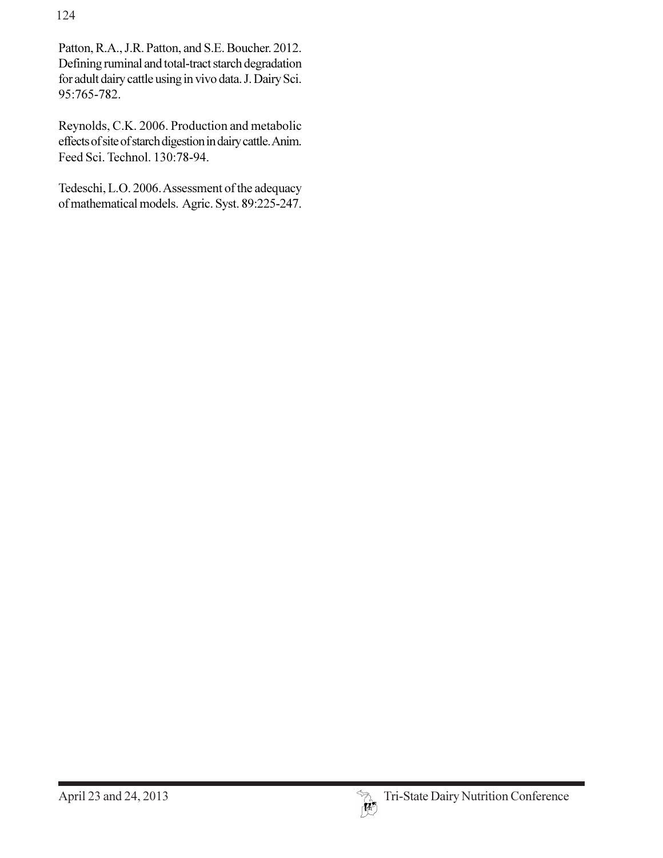124

Patton, R.A., J.R. Patton, and S.E. Boucher. 2012. Defining ruminal and total-tract starch degradation for adult dairy cattle using in vivo data. J. Dairy Sci. 95:765-782.

Reynolds, C.K. 2006. Production and metabolic effects of site of starch digestion in dairy cattle. Anim. Feed Sci. Technol. 130:78-94.

Tedeschi, L.O. 2006. Assessment of the adequacy of mathematical models. Agric. Syst. 89:225-247.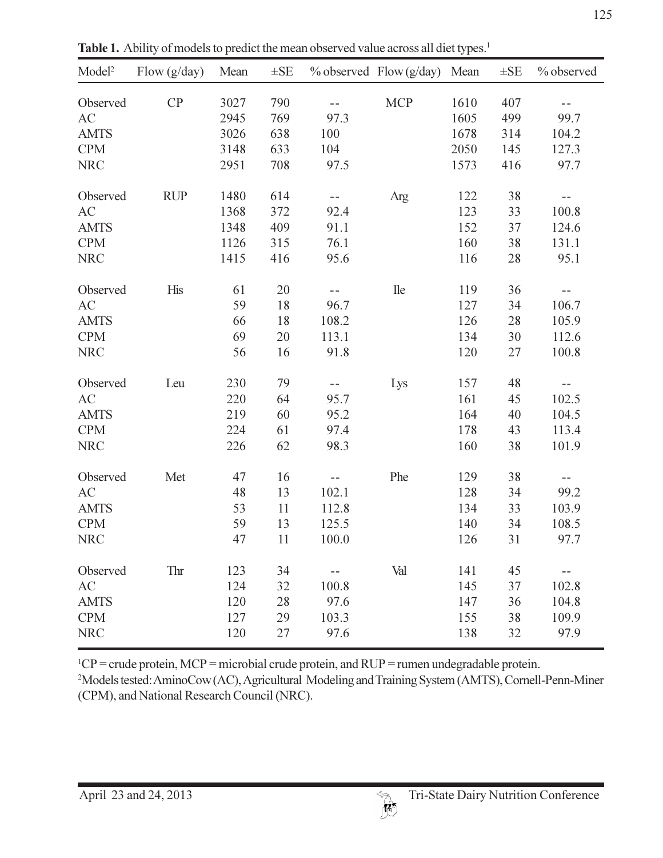|                    |                                                                                                   |             |          |       |                           |      |          | 12         |
|--------------------|---------------------------------------------------------------------------------------------------|-------------|----------|-------|---------------------------|------|----------|------------|
|                    | Table 1. Ability of models to predict the mean observed value across all diet types. <sup>1</sup> |             |          |       |                           |      |          |            |
| Model <sup>2</sup> | Flow $(g/day)$                                                                                    | Mean        | $\pm$ SE |       | $%$ observed Flow (g/day) | Mean | $\pm$ SE | % observed |
| Observed           | CP                                                                                                | 3027        | 790      | $ -$  | <b>MCP</b>                | 1610 | 407      | $ -$       |
| AC                 |                                                                                                   | 2945        | 769      | 97.3  |                           | 1605 | 499      | 99.7       |
| <b>AMTS</b>        |                                                                                                   | 3026        | 638      | 100   |                           | 1678 | 314      | 104.2      |
| <b>CPM</b>         |                                                                                                   | 3148        | 633      | 104   |                           | 2050 | 145      | 127.3      |
| <b>NRC</b>         |                                                                                                   | 2951        | 708      | 97.5  |                           | 1573 | 416      | 97.7       |
| Observed           | <b>RUP</b>                                                                                        | 1480        | 614      | $ -$  | Arg                       | 122  | 38       | --         |
| AC                 |                                                                                                   | 1368        | 372      | 92.4  |                           | 123  | 33       | 100.8      |
| <b>AMTS</b>        |                                                                                                   | 1348        | 409      | 91.1  |                           | 152  | 37       | 124.6      |
| <b>CPM</b>         |                                                                                                   | 1126        | 315      | 76.1  |                           | 160  | 38       | 131.1      |
| <b>NRC</b>         |                                                                                                   | 1415        | 416      | 95.6  |                           | 116  | 28       | 95.1       |
| Observed           | His                                                                                               | 61          | 20       | --    | <b>Ile</b>                | 119  | 36       | $- -$      |
| AC                 |                                                                                                   | 59          | 18       | 96.7  |                           | 127  | 34       | 106.7      |
| <b>AMTS</b>        |                                                                                                   | 66          | 18       | 108.2 |                           | 126  | 28       | 105.9      |
| <b>CPM</b>         |                                                                                                   | 69          | 20       | 113.1 |                           | 134  | 30       | 112.6      |
| <b>NRC</b>         |                                                                                                   | 56          | 16       | 91.8  |                           | 120  | 27       | 100.8      |
| Observed           | Leu                                                                                               | 230         | 79       | --    | Lys                       | 157  | 48       | $- -$      |
| AC                 |                                                                                                   | 220         | 64       | 95.7  |                           | 161  | 45       | 102.5      |
| <b>AMTS</b>        |                                                                                                   | 219         | 60       | 95.2  |                           | 164  | 40       | 104.5      |
| <b>CPM</b>         |                                                                                                   | 224         | 61       | 97.4  |                           | 178  | 43       | 113.4      |
| <b>NRC</b>         |                                                                                                   | 226         | 62       | 98.3  |                           | 160  | 38       | 101.9      |
| Observed           | Met                                                                                               | 47          | 16       |       | Phe                       | 129  | 38       |            |
| AC                 |                                                                                                   | $\sqrt{48}$ | 13       | 102.1 |                           | 128  | 34       | 99.2       |
| <b>AMTS</b>        |                                                                                                   | 53          | 11       | 112.8 |                           | 134  | 33       | 103.9      |
| <b>CPM</b>         |                                                                                                   | 59          | 13       | 125.5 |                           | 140  | 34       | 108.5      |
| <b>NRC</b>         |                                                                                                   | 47          | 11       | 100.0 |                           | 126  | 31       | 97.7       |
| Observed           | Thr                                                                                               | 123         | 34       |       | Val                       | 141  | 45       | --         |
| AC                 |                                                                                                   | 124         | 32       | 100.8 |                           | 145  | 37       | 102.8      |
| <b>AMTS</b>        |                                                                                                   | 120         | 28       | 97.6  |                           | 147  | 36       | 104.8      |
| <b>CPM</b>         |                                                                                                   | 127         | 29       | 103.3 |                           | 155  | 38       | 109.9      |
| <b>NRC</b>         |                                                                                                   | 120         | 27       | 97.6  |                           | 138  | 32       | 97.9       |
|                    |                                                                                                   |             |          |       |                           |      |          |            |

Table 1. Ability of models to predict the mean observed value across all diet types.<sup>1</sup>

 $CF = C1$ ude protein, NTC $F = 1$ literopial crude protein, and  $KCF = 1$ umen undegradable protein.

-iviodels lested. AlthnoCow (AC), Agricultural Tylodening and Training System (AIVITS), Cornell-Feilli-Ivinie (CPM), and National Research Council (NRC).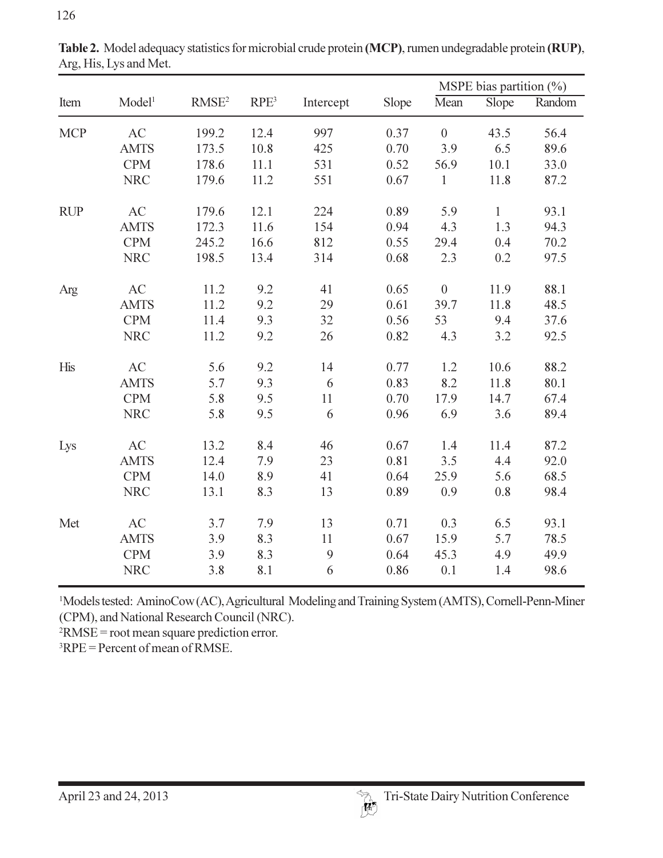|            |                    |                   |                  |           |       |                | MSPE bias partition (%) |        |
|------------|--------------------|-------------------|------------------|-----------|-------|----------------|-------------------------|--------|
| Item       | Model <sup>1</sup> | RMSE <sup>2</sup> | RPE <sup>3</sup> | Intercept | Slope | Mean           | Slope                   | Random |
| <b>MCP</b> | AC                 | 199.2             | 12.4             | 997       | 0.37  | $\overline{0}$ | 43.5                    | 56.4   |
|            | <b>AMTS</b>        | 173.5             | 10.8             | 425       | 0.70  | 3.9            | 6.5                     | 89.6   |
|            | <b>CPM</b>         | 178.6             | 11.1             | 531       | 0.52  | 56.9           | 10.1                    | 33.0   |
|            | <b>NRC</b>         | 179.6             | 11.2             | 551       | 0.67  | $\mathbf{1}$   | 11.8                    | 87.2   |
| <b>RUP</b> | AC                 | 179.6             | 12.1             | 224       | 0.89  | 5.9            | $\mathbf{1}$            | 93.1   |
|            | <b>AMTS</b>        | 172.3             | 11.6             | 154       | 0.94  | 4.3            | 1.3                     | 94.3   |
|            | <b>CPM</b>         | 245.2             | 16.6             | 812       | 0.55  | 29.4           | 0.4                     | 70.2   |
|            | <b>NRC</b>         | 198.5             | 13.4             | 314       | 0.68  | 2.3            | 0.2                     | 97.5   |
| Arg        | AC                 | 11.2              | 9.2              | 41        | 0.65  | $\overline{0}$ | 11.9                    | 88.1   |
|            | <b>AMTS</b>        | 11.2              | 9.2              | 29        | 0.61  | 39.7           | 11.8                    | 48.5   |
|            | <b>CPM</b>         | 11.4              | 9.3              | 32        | 0.56  | 53             | 9.4                     | 37.6   |
|            | <b>NRC</b>         | 11.2              | 9.2              | 26        | 0.82  | 4.3            | 3.2                     | 92.5   |
| His        | AC                 | 5.6               | 9.2              | 14        | 0.77  | 1.2            | 10.6                    | 88.2   |
|            | <b>AMTS</b>        | 5.7               | 9.3              | 6         | 0.83  | 8.2            | 11.8                    | 80.1   |
|            | <b>CPM</b>         | 5.8               | 9.5              | 11        | 0.70  | 17.9           | 14.7                    | 67.4   |
|            | <b>NRC</b>         | 5.8               | 9.5              | 6         | 0.96  | 6.9            | 3.6                     | 89.4   |
| Lys        | AC                 | 13.2              | 8.4              | 46        | 0.67  | 1.4            | 11.4                    | 87.2   |
|            | <b>AMTS</b>        | 12.4              | 7.9              | 23        | 0.81  | 3.5            | 4.4                     | 92.0   |
|            | <b>CPM</b>         | 14.0              | 8.9              | 41        | 0.64  | 25.9           | 5.6                     | 68.5   |
|            | <b>NRC</b>         | 13.1              | 8.3              | 13        | 0.89  | 0.9            | 0.8                     | 98.4   |
| Met        | AC                 | 3.7               | 7.9              | 13        | 0.71  | 0.3            | 6.5                     | 93.1   |
|            | <b>AMTS</b>        | 3.9               | 8.3              | 11        | 0.67  | 15.9           | 5.7                     | 78.5   |
|            | <b>CPM</b>         | 3.9               | 8.3              | 9         | 0.64  | 45.3           | 4.9                     | 49.9   |
|            | <b>NRC</b>         | 3.8               | 8.1              | 6         | 0.86  | 0.1            | 1.4                     | 98.6   |

Arg, His, Lys and Met.

<sup>1</sup>Models tested: AminoCow (AC), Agricultural Modeling and Training System (AMTS), Cornell-Penn-Miner (CPM), and National Research Council (NRC).

 $NNSE = 1001$  ineall square prediction error.

 ${}^{3}RPE$  = Percent of mean of RMSE.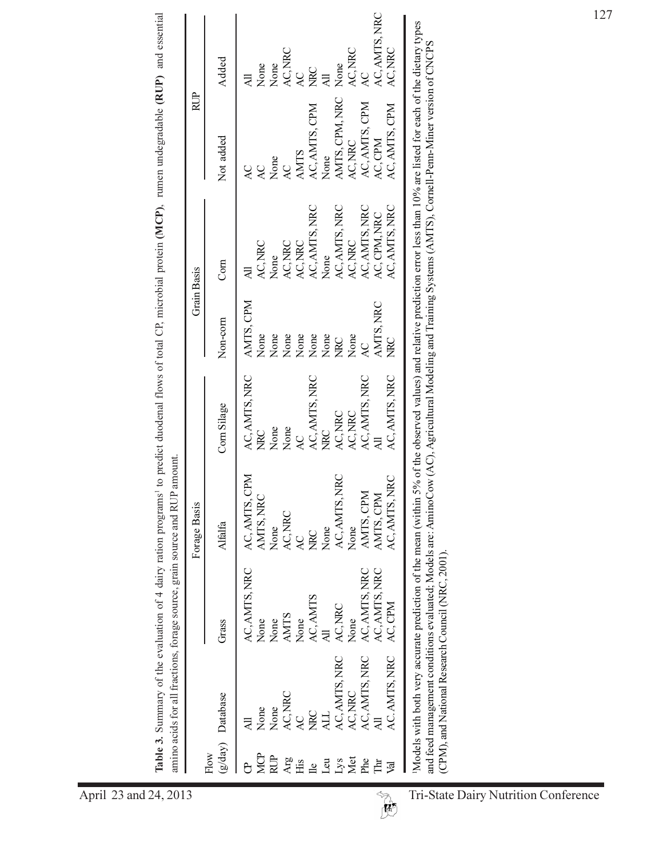|                |                       |               | Forage Basis   |               | <b>Grain Basis</b> |               | RUP                 |               |
|----------------|-----------------------|---------------|----------------|---------------|--------------------|---------------|---------------------|---------------|
| Flow           | (g/day) Database      | Grass         | <b>Alfalfa</b> | Corn Silage   | Non-corn           | Com           | Not added           | Added         |
|                |                       | AC, AMTS, NRC | AC, AMTS, CPM  | AC, AMTS, NRC | AMTS, CPM          |               | $\overline{Q}$      |               |
| <b>MCP</b>     | None                  | None          | AMTS, NRC      | D<br>Na       | None               | AC, NRC       | Q                   | None          |
| RUP            | None                  | None          | None           | None          | None               | None          | None                | None          |
| Arg            | AC, NRC               | <b>AMTS</b>   | AC, NRC        | None          | None               | AC, NRC       | $\overline{AC}$     | AC, NRC       |
| Нis            |                       | None          |                | Q             | None<br>None       | AC, NRC       | <b>AMTS</b>         |               |
| $\overline{a}$ | D<br>Bu               | AC, AMTS      | <b>Dall</b>    | AC, AMTS, NRC |                    | AC, AMTS, NRC | AC, AMTS, CPM       | <b>DAM</b>    |
| $\overline{a}$ |                       |               | None           | <b>DARC</b>   | None               | None          | None                |               |
| Lys            | AC, AMTS, NRC         | AC, NRC       | AC, AMTS, NRC  | AC, NRC       | <b>Dan</b>         | AC, AMTS, NRC | AMTS, CPM, NRC None |               |
| Met            | AC, NRC               | None          | None           | AC, NRC       | None               | AC, NRC       | AC, NRC             | AC, NRC       |
| Phe            | AC, AMIS, NRC         | AC, AMTS, NRC | AMTS, CPM      | AC, AMTS, NRC | Q                  | AC, AMTS, NRC | AC, AMTS, CPM       | AC            |
| 卢              |                       | AC. AMTS, NRC | AMTS, CPM      |               | AMTS, NRC          | AC, CPM, NRC  | AC, CPM             | AC, AMTS, NRC |
| ख्र            | AC. AMTS, NRC AC, CPM |               | AC, AMTS, NRC  | AC, AMTS, NRC | <b>DAN</b>         | AC, AMTS, NRC | AC, AMTS, CPM       | AC, NRC       |

Models with both very accurate prediction of the mean (within 5% of the observed values) and relative prediction error less than 10% are listed for each of the dietary types and feed management conditions evaluated; Models are: AminoCow (AC), Agricultural Modeling and Training Systems (AMTS), Cornell-Penn-Miner version of CNCPS<br>(CPM), and National Research Council (NRC, 2001).

April 23 and 24, 2013

Table 3. Summary of the evaluation of 4 dairy ration programs<sup>1</sup> to predict duodenal flows of total CP, microbial protein (MCP), rumen undegradable (RUP) and essential

Tri-State Dairy Nutrition Conference

 $\overline{\mathbb{R}}$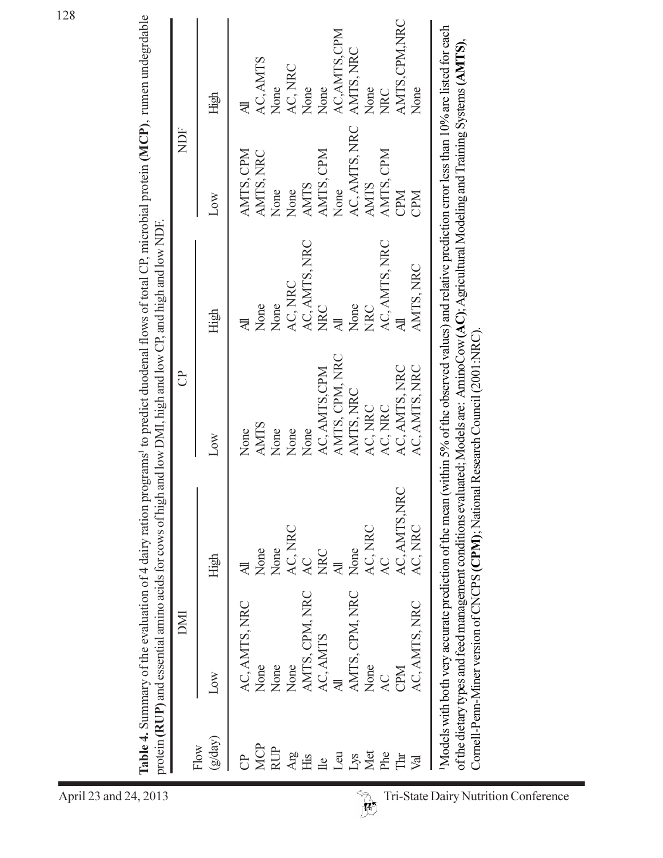| <b>NOT</b><br>$(g\mathrm{day})$<br>Flow                   | DMI  |                          | පි             |                         | <b>NDF</b>    |               |
|-----------------------------------------------------------|------|--------------------------|----------------|-------------------------|---------------|---------------|
|                                                           | High | $\overline{\phantom{a}}$ | Low            | High                    | <b>NOT</b>    | High          |
| AC, AMTS, NRC                                             |      |                          | None           | $\overline{\mathbb{R}}$ | AMTS, CPM     | 才             |
| None<br>MCP                                               |      | None                     | <b>AMTS</b>    | None                    | AMTS, NRC     | AC, AMTS      |
| None<br><b>RUP</b>                                        |      | None                     | None           | None                    | None          | None          |
| None<br>$\frac{\partial \mathbf{R}}{\partial \mathbf{R}}$ |      | AC, NRC                  | None           | AC, NRC                 | None          | AC, NRC       |
| AMTS, CPM, NRC<br>His                                     | AC   |                          | None           | AC, AMTS, NRC           | <b>AMTS</b>   | None          |
| AC, AMTS<br>$\mathbb{R}$                                  |      | <b>NRC</b>               | AC, AMTS, CPM  | <b>NRC</b>              | AMTS, CPM     | None          |
| Leu                                                       |      |                          | AMTS, CPM, NRC | $\overline{\mathbb{R}}$ | None          | AC, AMTS, CPM |
| AMTS, CPM, NRC<br>$\mathop{\text{Lys}}$                   | None |                          | AMTS, NRC      | None                    | AC, AMTS, NRC | AMTS, NRC     |
| None<br>Met                                               |      | AC, NRC                  | AC, NRC        | <b>NRC</b>              | <b>AMTS</b>   | None          |
| AC<br>Phe                                                 | AC   |                          | AC, NRC        | AC, AMTS, NRC           | AMTS, CPM     | <b>NRC</b>    |
| CPM<br>$T\text{hr}$                                       |      | AC, AMTS, NRC            | AC, AMTS, NRC  |                         | CPM           | AMTS.CPM.NRC  |
| AC, AMTS, NRC<br>Val                                      |      | AC, NRC                  | AC, AMTS, NRC  | AMTS, NRC               | <b>CPM</b>    | None          |

April 23 and 24, 2013

Tri-State Dairy Nutrition Conference  $\begin{picture}(120,15) \put(0,0){\vector(1,0){10}} \put(15,0){\vector(1,0){10}} \put(15,0){\vector(1,0){10}} \put(15,0){\vector(1,0){10}} \put(15,0){\vector(1,0){10}} \put(15,0){\vector(1,0){10}} \put(15,0){\vector(1,0){10}} \put(15,0){\vector(1,0){10}} \put(15,0){\vector(1,0){10}} \put(15,0){\vector(1,0){10}} \put(15,0){\vector(1,0){10}} \put(15,0){\vector($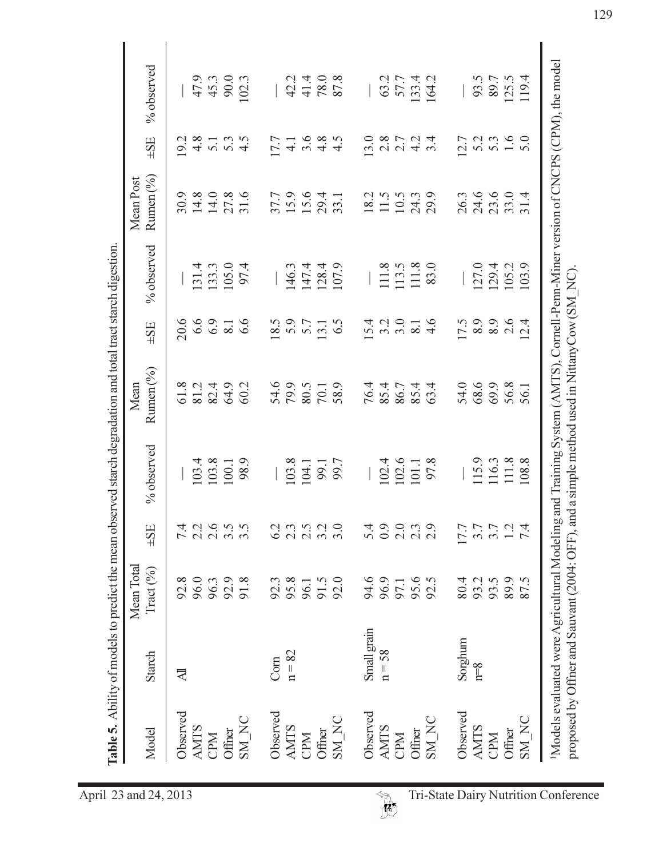|             |             | Mean Total         |                          |                | Mean                 |                  |                | Mean Post    |                                    |              |
|-------------|-------------|--------------------|--------------------------|----------------|----------------------|------------------|----------------|--------------|------------------------------------|--------------|
| Model       | Starch      | $\text{Tract}(\%)$ | $\pm$ SE                 | % observed     | Rumen (%)            | $\pm$ SE         | % observed     | Rumen (%)    | $\pm$ SE                           | % observed   |
| Observed    | ₹           | 92.8               |                          |                | 61.8                 | 20.6             |                | 30.9         | 19.2                               |              |
| <b>AMTS</b> |             | 96.0               | てくさい<br>インタン             |                | 81.2                 | 6.6              | 131.4          | 14.8         |                                    | 47.9         |
| CPM         |             | 96.3               |                          | 103.4          | 82.4<br>64.9         | 6.9              | 133.3          | 14.0         | $4.58$<br>$4.73$<br>$4.5$<br>$4.5$ | 45.3         |
| Offner      |             | 92.9               |                          | $100.1$        |                      | $\overline{8.1}$ | 105.0          | 27.8         |                                    | 90.0         |
| SM_NC       |             | 91.8               |                          | 98.9           | 60.2                 | 6.6              | 97.4           | 31.6         |                                    | 102.3        |
| Observed    | Com         | 92.3               | 62                       |                |                      | 18.5             |                | 37.7         | 17.7                               |              |
| <b>AMTS</b> | $n = 82$    | 95.8               |                          | 103.8          | 54.6<br>79.9         |                  | 146.3          |              | $\frac{1}{4}$                      | 42.2         |
| CPM         |             | 96.1               |                          | 104.1          | 80.5                 | 5.7              |                | 15.6         | $3.\overline{6}$<br>4.8            |              |
| Offner      |             | 91.5               |                          | 99.7           | 70.1                 | 13.1             | 147.4<br>128.4 | 29.4<br>33.1 |                                    | 41.4<br>78.0 |
| SM_NC       |             | 92.0               |                          |                | 58.9                 | 6.5              | 107.9          |              | 4.5                                | 87.8         |
| Observed    | Small grain | 94.6               | $\overline{2}$           |                |                      | 5.4              |                | 18.2         | 13.0                               |              |
| <b>AMTS</b> | $n = 58$    | 96.9               |                          |                | 76.4<br>85.4<br>76.7 | $3.\overline{0}$ | 111.8          | 11.5         |                                    | 63.2         |
| CPM         |             | 97.1               |                          | 102.4<br>102.6 |                      |                  | 113.5          | 10.5         |                                    | 57.7         |
| Offner      |             | 95.6<br>92.5       | 0.0<br>0.0<br>0.0<br>0.0 | $101.1$        | 85.4<br>63.4         | $\overline{8.1}$ | 111.8          | 24.3         | $28724$<br>$21474$                 | 133.4        |
| SM_NC       |             |                    |                          | 97.8           |                      | 4.6              | 83.0           | 29.9         |                                    | 164.2        |
| Observed    | Sorghum     | 80.4               | 17.7                     |                | 54.0                 | 17.5             |                | 26.3         | 12.7                               |              |
| <b>AMTS</b> | $n = 8$     | 93.2               |                          | 115.9          | 68.6                 |                  | 127.0          |              |                                    | 93.5         |
| CPM         |             | 93.5               | $3.7$<br>$3.7$<br>$1.2$  | 116.3          | 69.9                 | 8.9              | 129.4          | 24.6<br>23.6 | $5.3$<br>$5.3$<br>$5.0$            | 89.7         |
| Offner      |             | 89.9               |                          | 111.8          | 56.8                 | 2.6              | 105.2          | 33.0         |                                    | 125.5        |
| SM_NC       |             | 87.5               | $\overline{7}$           | 108.8          | 56.1                 | $\overline{2.4}$ | 103.9          | 31.4         |                                    | 119.4        |

129